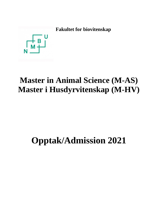

## **Master in Animal Science (M-AS) Master i Husdyrvitenskap (M-HV)**

# **Opptak/Admission 2021**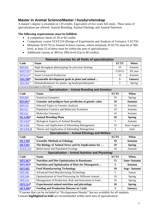#### **Master in Animal Science/Master i husdyrvitenskap**

A master's degree is awarded on 120 credits. Equivalent of two years full study. Three areas of specialization are offered: Animal Breeding, Animal Ethology and Animal Nutrition.

#### **The following requirements must be fulfilled:**

- A compulsory thesis of 30 or 60 credits
- Compulsory course STAT210 (Design of Experiments and Analysis of Variance, 5 ECTS)
- Minimum 50 ECTS in Animal Science courses, where minimum 35 ECTS must be at 300level, at least 25 of these must be within the area of specialization.
- Additional courses at 300 (or 200) level (Up to 40 credits).

| Relevant courses for all fields of specialization    |                                                       |                |                                         |  |  |
|------------------------------------------------------|-------------------------------------------------------|----------------|-----------------------------------------|--|--|
| Code                                                 | <b>Name</b>                                           | <b>ECTS</b>    | When                                    |  |  |
| <b>BIN302</b>                                        | High throughput phenotyping for precision farming     | 10             | Autumn                                  |  |  |
| <b>BINT301*</b>                                      | Internship                                            | 5/10/15        | All year                                |  |  |
| HFX315*                                              | <b>Smart Livestock Production</b>                     | 10             | Autumn                                  |  |  |
| <b>SDG300*</b>                                       | Sustainable development goals in plant and animal     | 5              | <b>January</b>                          |  |  |
| $SDG301^{1}$                                         | Klimakalkulatorer for plante- og husdyrproduksjoner   | 5              | Spring                                  |  |  |
|                                                      | 1) Given in Norwegian in 2021/2022                    |                |                                         |  |  |
| <b>Specialization - Animal Breeding and Genetics</b> |                                                       |                |                                         |  |  |
| Code                                                 | <b>Name</b>                                           | <b>ECTS</b>    | When                                    |  |  |
| <b>BIN300</b>                                        | <b>Statistical Genomics</b>                           | 10             | Spring                                  |  |  |
| <b>BIN301*</b>                                       | Genomic and pedigree-base prediction of genetic value | 10             | <b>Autumn</b>                           |  |  |
| <b>BIN310</b>                                        | Selected Topics in Genome Analysis                    | 10             | Autumn                                  |  |  |
| <b>BIO321</b>                                        | Population Genetics and Molecular Evolution           | 10             | Autumn                                  |  |  |
| <b>BIO322</b>                                        | <b>Molecular Genomics</b>                             | 10             | Autumn                                  |  |  |
| <b>HFA300*</b>                                       | <b>Animal Breeding Plans</b>                          | 10             | <b>Spring</b>                           |  |  |
| HFA303*                                              | <b>Biological Aspects of Animal Breeding</b>          | 5              | Autumn                                  |  |  |
| <b>TIE A 204</b>                                     | Theour and Application of Inhusoding Managament       | 1 <sub>0</sub> | $I_{\text{max}} + \Lambda_{\text{max}}$ |  |  |

| ПГАЗО4                                           | Theory and Application of Indreeding Management            | TÛ          | $J$ une $+$ August |  |  |
|--------------------------------------------------|------------------------------------------------------------|-------------|--------------------|--|--|
| <b>HFA304-B</b>                                  | Theory and Application of Inbreeding Management            | 5           | June               |  |  |
|                                                  | Specialization - Animal Ethology and Welfare               |             |                    |  |  |
| Code                                             | <b>Name</b>                                                | <b>ECTS</b> | When               |  |  |
| <b>HET300</b>                                    | <b>Scientific Methods in Ethology</b>                      | 10          | <b>Autumn</b>      |  |  |
| <b>HET301</b>                                    | The Biology of Animal Stress and Its Implications for      | 10          | <b>Spring</b>      |  |  |
| <b>ZOOL310</b>                                   | <b>Behavioural and Population Ecology</b>                  | 10          | Autumn             |  |  |
| Specialization - Animal Nutrition and Physiologi |                                                            |             |                    |  |  |
| Code                                             | <b>Name</b>                                                | <b>ECTS</b> | When               |  |  |
| <b>HFE302*</b>                                   | <b>Nutrition and Diet Optimisation in Ruminants</b>        | 15          | June+Autumn        |  |  |
| <b>HFE303*</b>                                   | <b>Nutrition and Optimisation of Diets for Monogastric</b> | 5           | <b>Autumn</b>      |  |  |
| <b>HFE305</b>                                    | <b>Feed Manufacturing Technology</b>                       | 10          | Aug+ Autumn        |  |  |
| <b>HFE306</b>                                    | <b>Advanced Feed Manufacturing Technology</b>              | 5           | Januar             |  |  |
| <b>HFE308</b>                                    | Optimalization of Feed Processing for Different Animal     | 10          | <b>Spring</b>      |  |  |
| <b>HFE310</b>                                    | Management of Production, Risk and Innovation in Feed      | 10          | Spring             |  |  |
| <b>HFE314*</b>                                   | <b>Experimental animal nutrition and physiology</b>        | 10          | <b>Spring</b>      |  |  |
| <b>HFX306*</b>                                   | <b>Feeding and Production Diseases in Cattle</b>           | 5           | <b>January</b>     |  |  |

\*Courses that can be included in "Sivilagronom Husdyr" but are available for all students. Courses **highlighted in bold** are recommended within each area of specialization